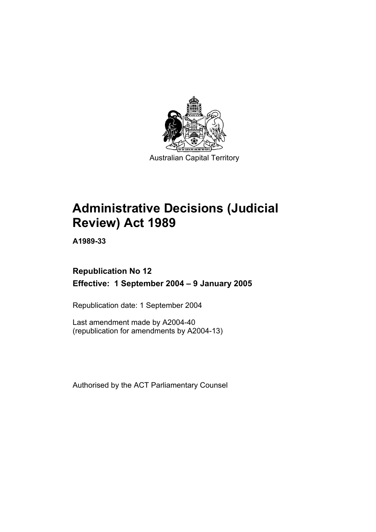

Australian Capital Territory

# **Administrative Decisions (Judicial Review) Act 1989**

**A1989-33** 

# **Republication No 12 Effective: 1 September 2004 – 9 January 2005**

Republication date: 1 September 2004

Last amendment made by A2004-40 (republication for amendments by A2004-13)

Authorised by the ACT Parliamentary Counsel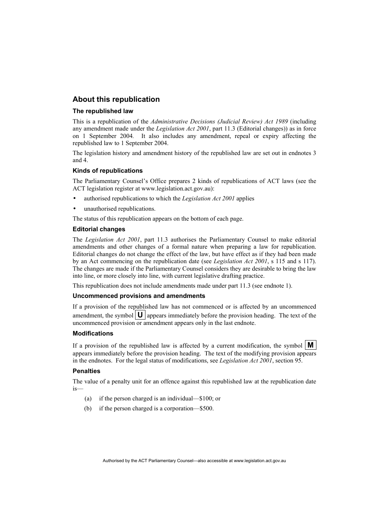# **About this republication**

### **The republished law**

This is a republication of the *Administrative Decisions (Judicial Review) Act 1989* (including any amendment made under the *Legislation Act 2001*, part 11.3 (Editorial changes)) as in force on 1 September 2004*.* It also includes any amendment, repeal or expiry affecting the republished law to 1 September 2004.

The legislation history and amendment history of the republished law are set out in endnotes 3 and 4.

### **Kinds of republications**

The Parliamentary Counsel's Office prepares 2 kinds of republications of ACT laws (see the ACT legislation register at www.legislation.act.gov.au):

- authorised republications to which the *Legislation Act 2001* applies
- unauthorised republications.

The status of this republication appears on the bottom of each page.

### **Editorial changes**

The *Legislation Act 2001*, part 11.3 authorises the Parliamentary Counsel to make editorial amendments and other changes of a formal nature when preparing a law for republication. Editorial changes do not change the effect of the law, but have effect as if they had been made by an Act commencing on the republication date (see *Legislation Act 2001*, s 115 and s 117). The changes are made if the Parliamentary Counsel considers they are desirable to bring the law into line, or more closely into line, with current legislative drafting practice.

This republication does not include amendments made under part 11.3 (see endnote 1).

### **Uncommenced provisions and amendments**

If a provision of the republished law has not commenced or is affected by an uncommenced amendment, the symbol  $\mathbf{U}$  appears immediately before the provision heading. The text of the uncommenced provision or amendment appears only in the last endnote.

### **Modifications**

If a provision of the republished law is affected by a current modification, the symbol  $\mathbf{M}$ appears immediately before the provision heading. The text of the modifying provision appears in the endnotes. For the legal status of modifications, see *Legislation Act 2001*, section 95.

### **Penalties**

The value of a penalty unit for an offence against this republished law at the republication date is—

- (a) if the person charged is an individual—\$100; or
- (b) if the person charged is a corporation—\$500.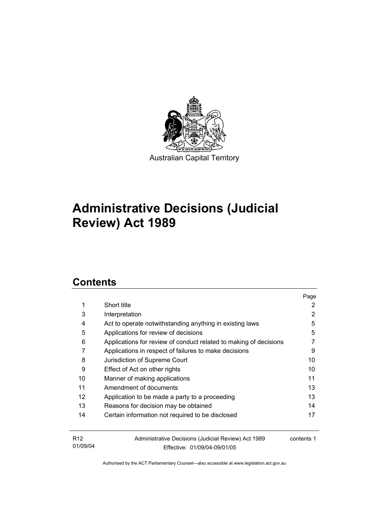

# **Administrative Decisions (Judicial Review) Act 1989**

# **Contents**

|                 |                                                                   | Page       |
|-----------------|-------------------------------------------------------------------|------------|
| 1               | Short title                                                       | 2          |
| 3               | Interpretation                                                    | 2          |
| 4               | Act to operate notwithstanding anything in existing laws          | 5          |
| 5               | Applications for review of decisions                              | 5          |
| 6               | Applications for review of conduct related to making of decisions |            |
| 7               | Applications in respect of failures to make decisions             | 9          |
| 8               | Jurisdiction of Supreme Court                                     | 10         |
| 9               | Effect of Act on other rights                                     | 10         |
| 10              | Manner of making applications                                     | 11         |
| 11              | Amendment of documents                                            | 13         |
| 12              | Application to be made a party to a proceeding                    | 13         |
| 13              | Reasons for decision may be obtained                              | 14         |
| 14              | Certain information not required to be disclosed                  | 17         |
|                 |                                                                   |            |
| R <sub>12</sub> | Administrative Decisions (Judicial Review) Act 1989               | contents 1 |
| 01/09/04        | Effective: 01/09/04-09/01/05                                      |            |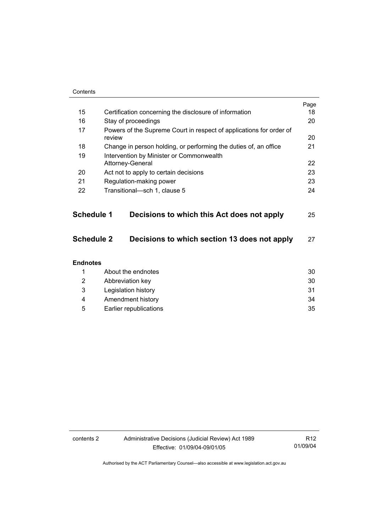| Contents          |                                                                               |      |
|-------------------|-------------------------------------------------------------------------------|------|
|                   |                                                                               | Page |
| 15                | Certification concerning the disclosure of information                        | 18   |
| 16                | Stay of proceedings                                                           | 20   |
| 17                | Powers of the Supreme Court in respect of applications for order of<br>review | 20   |
| 18                | Change in person holding, or performing the duties of, an office              | 21   |
| 19                | Intervention by Minister or Commonwealth<br>Attorney-General                  | 22   |
| 20                | Act not to apply to certain decisions                                         | 23   |
| 21                | Regulation-making power                                                       | 23   |
| 22                | Transitional-sch 1, clause 5                                                  | 24   |
| <b>Schedule 1</b> | Decisions to which this Act does not apply                                    | 25   |
| <b>Schedule 2</b> | Decisions to which section 13 does not apply                                  | 27   |
| <b>Endnotes</b>   |                                                                               |      |
| 1                 | About the endnotes                                                            | 30   |
| 2                 | Abbreviation key                                                              | 30   |
| 3                 | Legislation history                                                           | 31   |
| 4                 | Amendment history                                                             | 34   |
| 5                 | Earlier republications                                                        | 35   |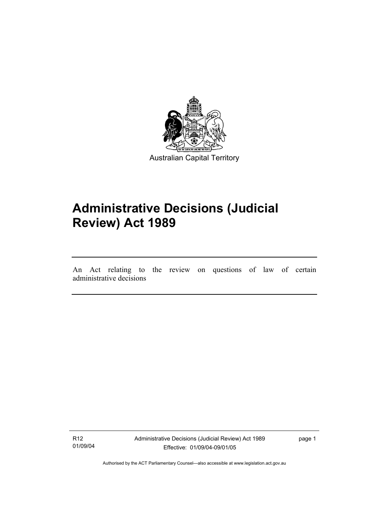

# **Administrative Decisions (Judicial Review) Act 1989**

An Act relating to the review on questions of law of certain administrative decisions

R12 01/09/04

I

Administrative Decisions (Judicial Review) Act 1989 Effective: 01/09/04-09/01/05

page 1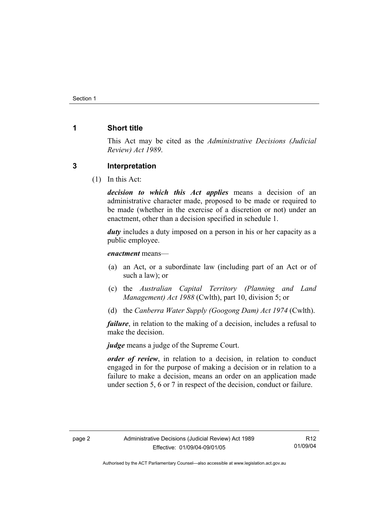# **1 Short title**

This Act may be cited as the *Administrative Decisions (Judicial Review) Act 1989*.

## **3 Interpretation**

(1) In this Act:

*decision to which this Act applies* means a decision of an administrative character made, proposed to be made or required to be made (whether in the exercise of a discretion or not) under an enactment, other than a decision specified in schedule 1.

*duty* includes a duty imposed on a person in his or her capacity as a public employee.

*enactment* means—

- (a) an Act, or a subordinate law (including part of an Act or of such a law); or
- (c) the *Australian Capital Territory (Planning and Land Management) Act 1988* (Cwlth), part 10, division 5; or
- (d) the *Canberra Water Supply (Googong Dam) Act 1974* (Cwlth).

*failure*, in relation to the making of a decision, includes a refusal to make the decision.

*judge* means a judge of the Supreme Court.

*order of review*, in relation to a decision, in relation to conduct engaged in for the purpose of making a decision or in relation to a failure to make a decision, means an order on an application made under section 5, 6 or 7 in respect of the decision, conduct or failure.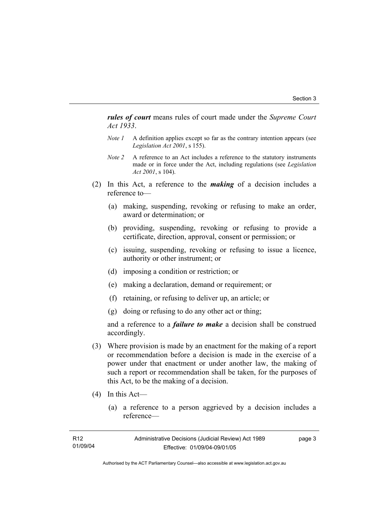*rules of court* means rules of court made under the *Supreme Court Act 1933*.

- *Note 1* A definition applies except so far as the contrary intention appears (see *Legislation Act 2001*, s 155).
- *Note 2* A reference to an Act includes a reference to the statutory instruments made or in force under the Act, including regulations (see *Legislation Act 2001*, s 104).
- (2) In this Act, a reference to the *making* of a decision includes a reference to—
	- (a) making, suspending, revoking or refusing to make an order, award or determination; or
	- (b) providing, suspending, revoking or refusing to provide a certificate, direction, approval, consent or permission; or
	- (c) issuing, suspending, revoking or refusing to issue a licence, authority or other instrument; or
	- (d) imposing a condition or restriction; or
	- (e) making a declaration, demand or requirement; or
	- (f) retaining, or refusing to deliver up, an article; or
	- (g) doing or refusing to do any other act or thing;

and a reference to a *failure to make* a decision shall be construed accordingly.

- (3) Where provision is made by an enactment for the making of a report or recommendation before a decision is made in the exercise of a power under that enactment or under another law, the making of such a report or recommendation shall be taken, for the purposes of this Act, to be the making of a decision.
- (4) In this Act—
	- (a) a reference to a person aggrieved by a decision includes a reference—

| R12      | Administrative Decisions (Judicial Review) Act 1989 | page 3 |
|----------|-----------------------------------------------------|--------|
| 01/09/04 | Effective: 01/09/04-09/01/05                        |        |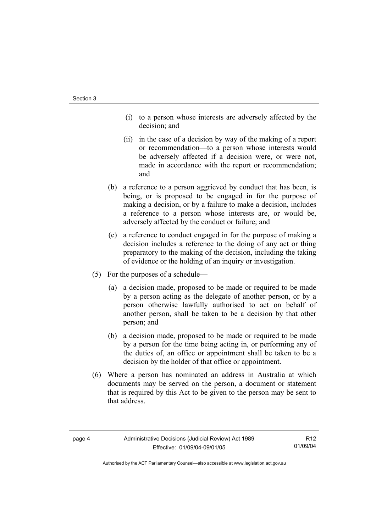- (i) to a person whose interests are adversely affected by the decision; and
- (ii) in the case of a decision by way of the making of a report or recommendation—to a person whose interests would be adversely affected if a decision were, or were not, made in accordance with the report or recommendation; and
- (b) a reference to a person aggrieved by conduct that has been, is being, or is proposed to be engaged in for the purpose of making a decision, or by a failure to make a decision, includes a reference to a person whose interests are, or would be, adversely affected by the conduct or failure; and
- (c) a reference to conduct engaged in for the purpose of making a decision includes a reference to the doing of any act or thing preparatory to the making of the decision, including the taking of evidence or the holding of an inquiry or investigation.
- (5) For the purposes of a schedule—
	- (a) a decision made, proposed to be made or required to be made by a person acting as the delegate of another person, or by a person otherwise lawfully authorised to act on behalf of another person, shall be taken to be a decision by that other person; and
	- (b) a decision made, proposed to be made or required to be made by a person for the time being acting in, or performing any of the duties of, an office or appointment shall be taken to be a decision by the holder of that office or appointment.
- (6) Where a person has nominated an address in Australia at which documents may be served on the person, a document or statement that is required by this Act to be given to the person may be sent to that address.

R12 01/09/04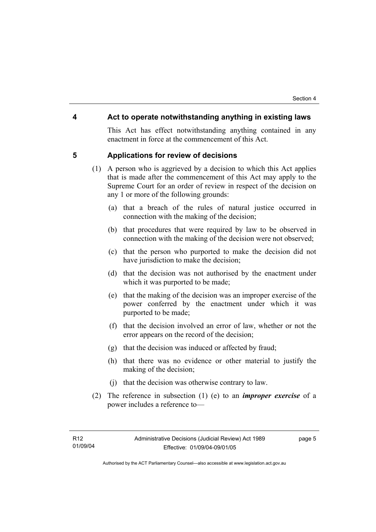### **4 Act to operate notwithstanding anything in existing laws**

This Act has effect notwithstanding anything contained in any enactment in force at the commencement of this Act.

### **5 Applications for review of decisions**

- (1) A person who is aggrieved by a decision to which this Act applies that is made after the commencement of this Act may apply to the Supreme Court for an order of review in respect of the decision on any 1 or more of the following grounds:
	- (a) that a breach of the rules of natural justice occurred in connection with the making of the decision;
	- (b) that procedures that were required by law to be observed in connection with the making of the decision were not observed;
	- (c) that the person who purported to make the decision did not have jurisdiction to make the decision;
	- (d) that the decision was not authorised by the enactment under which it was purported to be made;
	- (e) that the making of the decision was an improper exercise of the power conferred by the enactment under which it was purported to be made;
	- (f) that the decision involved an error of law, whether or not the error appears on the record of the decision;
	- (g) that the decision was induced or affected by fraud;
	- (h) that there was no evidence or other material to justify the making of the decision;
	- (j) that the decision was otherwise contrary to law.
- (2) The reference in subsection (1) (e) to an *improper exercise* of a power includes a reference to—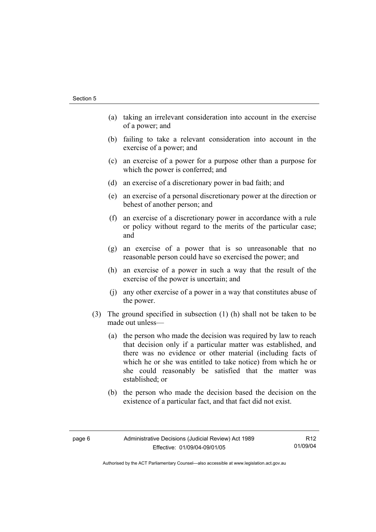- (a) taking an irrelevant consideration into account in the exercise of a power; and
- (b) failing to take a relevant consideration into account in the exercise of a power; and
- (c) an exercise of a power for a purpose other than a purpose for which the power is conferred; and
- (d) an exercise of a discretionary power in bad faith; and
- (e) an exercise of a personal discretionary power at the direction or behest of another person; and
- (f) an exercise of a discretionary power in accordance with a rule or policy without regard to the merits of the particular case; and
- (g) an exercise of a power that is so unreasonable that no reasonable person could have so exercised the power; and
- (h) an exercise of a power in such a way that the result of the exercise of the power is uncertain; and
- (j) any other exercise of a power in a way that constitutes abuse of the power.
- (3) The ground specified in subsection (1) (h) shall not be taken to be made out unless—
	- (a) the person who made the decision was required by law to reach that decision only if a particular matter was established, and there was no evidence or other material (including facts of which he or she was entitled to take notice) from which he or she could reasonably be satisfied that the matter was established; or
	- (b) the person who made the decision based the decision on the existence of a particular fact, and that fact did not exist.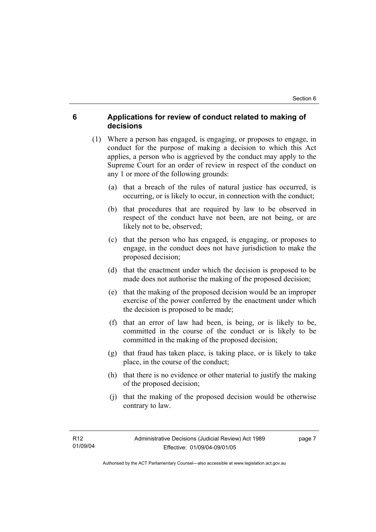# **6 Applications for review of conduct related to making of decisions**

- (1) Where a person has engaged, is engaging, or proposes to engage, in conduct for the purpose of making a decision to which this Act applies, a person who is aggrieved by the conduct may apply to the Supreme Court for an order of review in respect of the conduct on any 1 or more of the following grounds:
	- (a) that a breach of the rules of natural justice has occurred, is occurring, or is likely to occur, in connection with the conduct;
	- (b) that procedures that are required by law to be observed in respect of the conduct have not been, are not being, or are likely not to be, observed;
	- (c) that the person who has engaged, is engaging, or proposes to engage, in the conduct does not have jurisdiction to make the proposed decision;
	- (d) that the enactment under which the decision is proposed to be made does not authorise the making of the proposed decision;
	- (e) that the making of the proposed decision would be an improper exercise of the power conferred by the enactment under which the decision is proposed to be made;
	- (f) that an error of law had been, is being, or is likely to be, committed in the course of the conduct or is likely to be committed in the making of the proposed decision;
	- (g) that fraud has taken place, is taking place, or is likely to take place, in the course of the conduct;
	- (h) that there is no evidence or other material to justify the making of the proposed decision;
	- (j) that the making of the proposed decision would be otherwise contrary to law.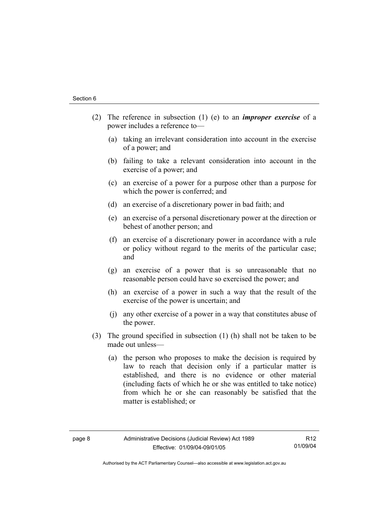- (2) The reference in subsection (1) (e) to an *improper exercise* of a power includes a reference to—
	- (a) taking an irrelevant consideration into account in the exercise of a power; and
	- (b) failing to take a relevant consideration into account in the exercise of a power; and
	- (c) an exercise of a power for a purpose other than a purpose for which the power is conferred; and
	- (d) an exercise of a discretionary power in bad faith; and
	- (e) an exercise of a personal discretionary power at the direction or behest of another person; and
	- (f) an exercise of a discretionary power in accordance with a rule or policy without regard to the merits of the particular case; and
	- (g) an exercise of a power that is so unreasonable that no reasonable person could have so exercised the power; and
	- (h) an exercise of a power in such a way that the result of the exercise of the power is uncertain; and
	- (j) any other exercise of a power in a way that constitutes abuse of the power.
- (3) The ground specified in subsection (1) (h) shall not be taken to be made out unless—
	- (a) the person who proposes to make the decision is required by law to reach that decision only if a particular matter is established, and there is no evidence or other material (including facts of which he or she was entitled to take notice) from which he or she can reasonably be satisfied that the matter is established; or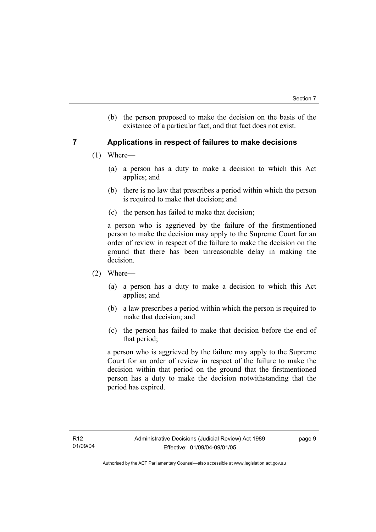(b) the person proposed to make the decision on the basis of the existence of a particular fact, and that fact does not exist.

# **7 Applications in respect of failures to make decisions**

- (1) Where—
	- (a) a person has a duty to make a decision to which this Act applies; and
	- (b) there is no law that prescribes a period within which the person is required to make that decision; and
	- (c) the person has failed to make that decision;

a person who is aggrieved by the failure of the firstmentioned person to make the decision may apply to the Supreme Court for an order of review in respect of the failure to make the decision on the ground that there has been unreasonable delay in making the decision.

- (2) Where—
	- (a) a person has a duty to make a decision to which this Act applies; and
	- (b) a law prescribes a period within which the person is required to make that decision; and
	- (c) the person has failed to make that decision before the end of that period;

a person who is aggrieved by the failure may apply to the Supreme Court for an order of review in respect of the failure to make the decision within that period on the ground that the firstmentioned person has a duty to make the decision notwithstanding that the period has expired.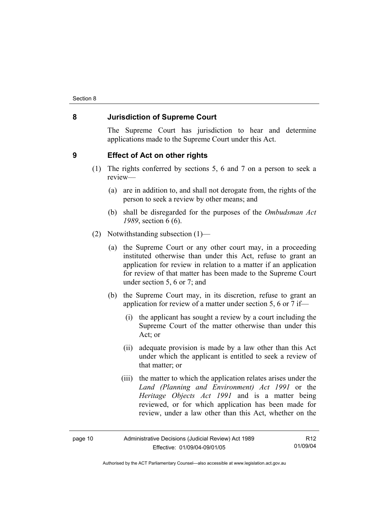# **8 Jurisdiction of Supreme Court**

The Supreme Court has jurisdiction to hear and determine applications made to the Supreme Court under this Act.

### **9 Effect of Act on other rights**

- (1) The rights conferred by sections 5, 6 and 7 on a person to seek a review—
	- (a) are in addition to, and shall not derogate from, the rights of the person to seek a review by other means; and
	- (b) shall be disregarded for the purposes of the *Ombudsman Act 1989*, section 6 (6).
- (2) Notwithstanding subsection (1)—
	- (a) the Supreme Court or any other court may, in a proceeding instituted otherwise than under this Act, refuse to grant an application for review in relation to a matter if an application for review of that matter has been made to the Supreme Court under section 5, 6 or 7; and
	- (b) the Supreme Court may, in its discretion, refuse to grant an application for review of a matter under section 5, 6 or 7 if—
		- (i) the applicant has sought a review by a court including the Supreme Court of the matter otherwise than under this Act; or
		- (ii) adequate provision is made by a law other than this Act under which the applicant is entitled to seek a review of that matter; or
		- (iii) the matter to which the application relates arises under the *Land (Planning and Environment) Act 1991* or the *Heritage Objects Act 1991* and is a matter being reviewed, or for which application has been made for review, under a law other than this Act, whether on the

| page 10 | Administrative Decisions (Judicial Review) Act 1989 | R <sub>12</sub> |
|---------|-----------------------------------------------------|-----------------|
|         | Effective: 01/09/04-09/01/05                        | 01/09/04        |

Authorised by the ACT Parliamentary Counsel—also accessible at www.legislation.act.gov.au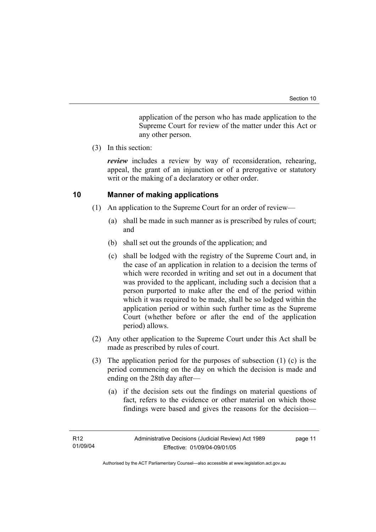application of the person who has made application to the Supreme Court for review of the matter under this Act or any other person.

(3) In this section:

*review* includes a review by way of reconsideration, rehearing, appeal, the grant of an injunction or of a prerogative or statutory writ or the making of a declaratory or other order.

# **10 Manner of making applications**

- (1) An application to the Supreme Court for an order of review—
	- (a) shall be made in such manner as is prescribed by rules of court; and
	- (b) shall set out the grounds of the application; and
	- (c) shall be lodged with the registry of the Supreme Court and, in the case of an application in relation to a decision the terms of which were recorded in writing and set out in a document that was provided to the applicant, including such a decision that a person purported to make after the end of the period within which it was required to be made, shall be so lodged within the application period or within such further time as the Supreme Court (whether before or after the end of the application period) allows.
- (2) Any other application to the Supreme Court under this Act shall be made as prescribed by rules of court.
- (3) The application period for the purposes of subsection (1) (c) is the period commencing on the day on which the decision is made and ending on the 28th day after—
	- (a) if the decision sets out the findings on material questions of fact, refers to the evidence or other material on which those findings were based and gives the reasons for the decision—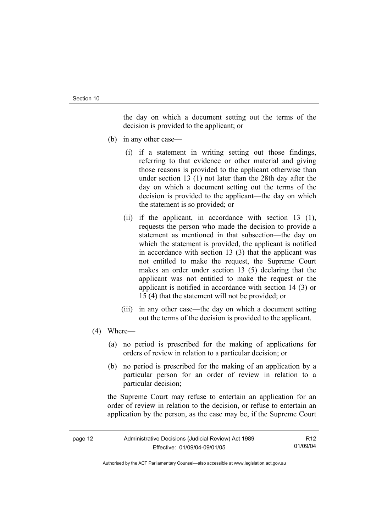the day on which a document setting out the terms of the decision is provided to the applicant; or

- (b) in any other case—
	- (i) if a statement in writing setting out those findings, referring to that evidence or other material and giving those reasons is provided to the applicant otherwise than under section 13 (1) not later than the 28th day after the day on which a document setting out the terms of the decision is provided to the applicant—the day on which the statement is so provided; or
	- (ii) if the applicant, in accordance with section 13 (1), requests the person who made the decision to provide a statement as mentioned in that subsection—the day on which the statement is provided, the applicant is notified in accordance with section 13 (3) that the applicant was not entitled to make the request, the Supreme Court makes an order under section 13 (5) declaring that the applicant was not entitled to make the request or the applicant is notified in accordance with section 14 (3) or 15 (4) that the statement will not be provided; or
	- (iii) in any other case—the day on which a document setting out the terms of the decision is provided to the applicant.
- (4) Where—
	- (a) no period is prescribed for the making of applications for orders of review in relation to a particular decision; or
	- (b) no period is prescribed for the making of an application by a particular person for an order of review in relation to a particular decision;

the Supreme Court may refuse to entertain an application for an order of review in relation to the decision, or refuse to entertain an application by the person, as the case may be, if the Supreme Court

| page 12 | Administrative Decisions (Judicial Review) Act 1989 | R <sub>12</sub> |
|---------|-----------------------------------------------------|-----------------|
|         | Effective: 01/09/04-09/01/05                        | 01/09/04        |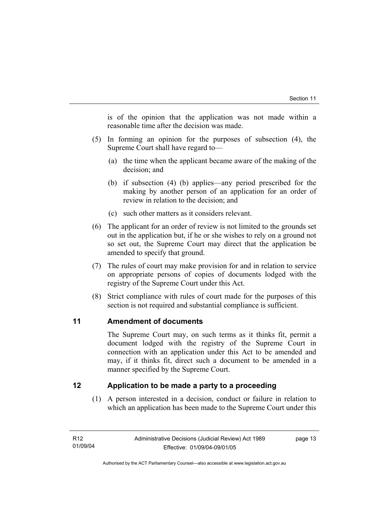is of the opinion that the application was not made within a reasonable time after the decision was made.

- (5) In forming an opinion for the purposes of subsection (4), the Supreme Court shall have regard to—
	- (a) the time when the applicant became aware of the making of the decision; and
	- (b) if subsection (4) (b) applies—any period prescribed for the making by another person of an application for an order of review in relation to the decision; and
	- (c) such other matters as it considers relevant.
- (6) The applicant for an order of review is not limited to the grounds set out in the application but, if he or she wishes to rely on a ground not so set out, the Supreme Court may direct that the application be amended to specify that ground.
- (7) The rules of court may make provision for and in relation to service on appropriate persons of copies of documents lodged with the registry of the Supreme Court under this Act.
- (8) Strict compliance with rules of court made for the purposes of this section is not required and substantial compliance is sufficient.

# **11 Amendment of documents**

The Supreme Court may, on such terms as it thinks fit, permit a document lodged with the registry of the Supreme Court in connection with an application under this Act to be amended and may, if it thinks fit, direct such a document to be amended in a manner specified by the Supreme Court.

# **12 Application to be made a party to a proceeding**

 (1) A person interested in a decision, conduct or failure in relation to which an application has been made to the Supreme Court under this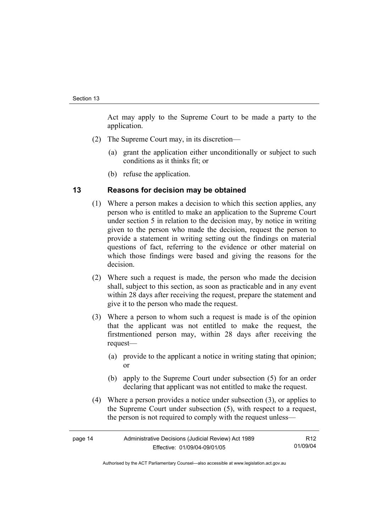Act may apply to the Supreme Court to be made a party to the application.

- (2) The Supreme Court may, in its discretion—
	- (a) grant the application either unconditionally or subject to such conditions as it thinks fit; or
	- (b) refuse the application.

## **13 Reasons for decision may be obtained**

- (1) Where a person makes a decision to which this section applies, any person who is entitled to make an application to the Supreme Court under section 5 in relation to the decision may, by notice in writing given to the person who made the decision, request the person to provide a statement in writing setting out the findings on material questions of fact, referring to the evidence or other material on which those findings were based and giving the reasons for the decision.
- (2) Where such a request is made, the person who made the decision shall, subject to this section, as soon as practicable and in any event within 28 days after receiving the request, prepare the statement and give it to the person who made the request.
- (3) Where a person to whom such a request is made is of the opinion that the applicant was not entitled to make the request, the firstmentioned person may, within 28 days after receiving the request—
	- (a) provide to the applicant a notice in writing stating that opinion; or
	- (b) apply to the Supreme Court under subsection (5) for an order declaring that applicant was not entitled to make the request.
- (4) Where a person provides a notice under subsection (3), or applies to the Supreme Court under subsection (5), with respect to a request, the person is not required to comply with the request unless—

| Administrative Decisions (Judicial Review) Act 1989<br>page 14 |                              | R12      |
|----------------------------------------------------------------|------------------------------|----------|
|                                                                | Effective: 01/09/04-09/01/05 | 01/09/04 |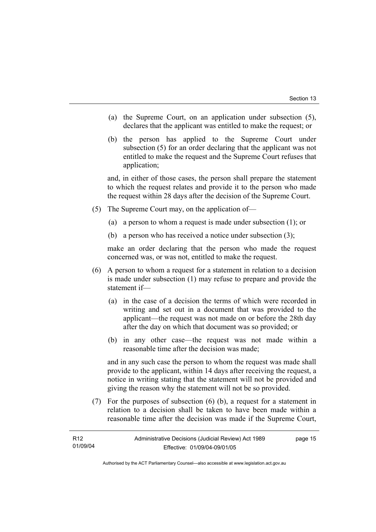- (a) the Supreme Court, on an application under subsection (5), declares that the applicant was entitled to make the request; or
- (b) the person has applied to the Supreme Court under subsection (5) for an order declaring that the applicant was not entitled to make the request and the Supreme Court refuses that application;

and, in either of those cases, the person shall prepare the statement to which the request relates and provide it to the person who made the request within 28 days after the decision of the Supreme Court.

- (5) The Supreme Court may, on the application of—
	- (a) a person to whom a request is made under subsection (1); or
	- (b) a person who has received a notice under subsection (3);

make an order declaring that the person who made the request concerned was, or was not, entitled to make the request.

- (6) A person to whom a request for a statement in relation to a decision is made under subsection (1) may refuse to prepare and provide the statement if—
	- (a) in the case of a decision the terms of which were recorded in writing and set out in a document that was provided to the applicant—the request was not made on or before the 28th day after the day on which that document was so provided; or
	- (b) in any other case—the request was not made within a reasonable time after the decision was made;

and in any such case the person to whom the request was made shall provide to the applicant, within 14 days after receiving the request, a notice in writing stating that the statement will not be provided and giving the reason why the statement will not be so provided.

 (7) For the purposes of subsection (6) (b), a request for a statement in relation to a decision shall be taken to have been made within a reasonable time after the decision was made if the Supreme Court,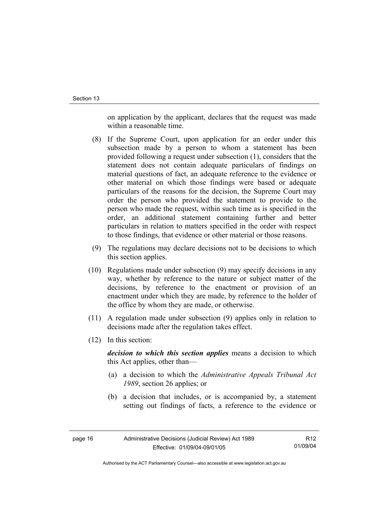on application by the applicant, declares that the request was made within a reasonable time.

- (8) If the Supreme Court, upon application for an order under this subsection made by a person to whom a statement has been provided following a request under subsection (1), considers that the statement does not contain adequate particulars of findings on material questions of fact, an adequate reference to the evidence or other material on which those findings were based or adequate particulars of the reasons for the decision, the Supreme Court may order the person who provided the statement to provide to the person who made the request, within such time as is specified in the order, an additional statement containing further and better particulars in relation to matters specified in the order with respect to those findings, that evidence or other material or those reasons.
- (9) The regulations may declare decisions not to be decisions to which this section applies.
- (10) Regulations made under subsection (9) may specify decisions in any way, whether by reference to the nature or subject matter of the decisions, by reference to the enactment or provision of an enactment under which they are made, by reference to the holder of the office by whom they are made, or otherwise.
- (11) A regulation made under subsection (9) applies only in relation to decisions made after the regulation takes effect.
- (12) In this section:

*decision to which this section applies* means a decision to which this Act applies, other than—

- (a) a decision to which the *Administrative Appeals Tribunal Act 1989*, section 26 applies; or
- (b) a decision that includes, or is accompanied by, a statement setting out findings of facts, a reference to the evidence or

R12 01/09/04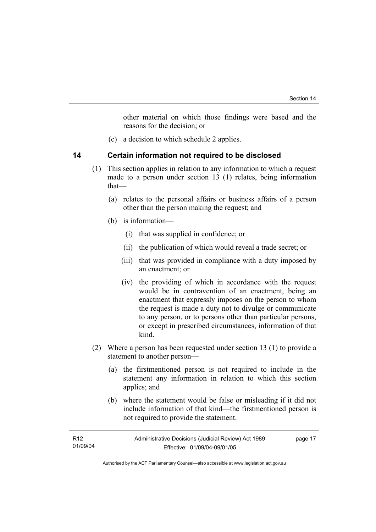other material on which those findings were based and the reasons for the decision; or

(c) a decision to which schedule 2 applies.

### **14 Certain information not required to be disclosed**

- (1) This section applies in relation to any information to which a request made to a person under section 13 (1) relates, being information that—
	- (a) relates to the personal affairs or business affairs of a person other than the person making the request; and
	- (b) is information—
		- (i) that was supplied in confidence; or
		- (ii) the publication of which would reveal a trade secret; or
		- (iii) that was provided in compliance with a duty imposed by an enactment; or
		- (iv) the providing of which in accordance with the request would be in contravention of an enactment, being an enactment that expressly imposes on the person to whom the request is made a duty not to divulge or communicate to any person, or to persons other than particular persons, or except in prescribed circumstances, information of that kind.
- (2) Where a person has been requested under section 13 (1) to provide a statement to another person—
	- (a) the firstmentioned person is not required to include in the statement any information in relation to which this section applies; and
	- (b) where the statement would be false or misleading if it did not include information of that kind—the firstmentioned person is not required to provide the statement.

| R12      | Administrative Decisions (Judicial Review) Act 1989 | page 17 |
|----------|-----------------------------------------------------|---------|
| 01/09/04 | Effective: 01/09/04-09/01/05                        |         |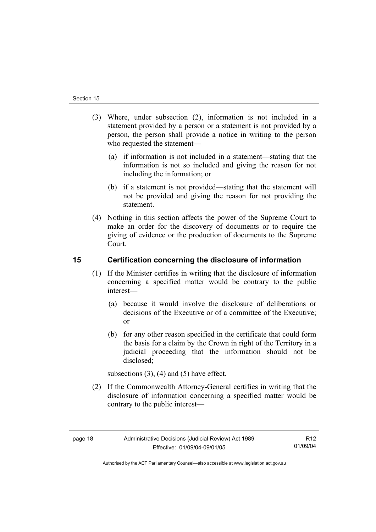- (3) Where, under subsection (2), information is not included in a statement provided by a person or a statement is not provided by a person, the person shall provide a notice in writing to the person who requested the statement—
	- (a) if information is not included in a statement—stating that the information is not so included and giving the reason for not including the information; or
	- (b) if a statement is not provided—stating that the statement will not be provided and giving the reason for not providing the statement.
- (4) Nothing in this section affects the power of the Supreme Court to make an order for the discovery of documents or to require the giving of evidence or the production of documents to the Supreme Court.

# **15 Certification concerning the disclosure of information**

- (1) If the Minister certifies in writing that the disclosure of information concerning a specified matter would be contrary to the public interest—
	- (a) because it would involve the disclosure of deliberations or decisions of the Executive or of a committee of the Executive; or
	- (b) for any other reason specified in the certificate that could form the basis for a claim by the Crown in right of the Territory in a judicial proceeding that the information should not be disclosed;

subsections  $(3)$ ,  $(4)$  and  $(5)$  have effect.

 (2) If the Commonwealth Attorney-General certifies in writing that the disclosure of information concerning a specified matter would be contrary to the public interest—

R12 01/09/04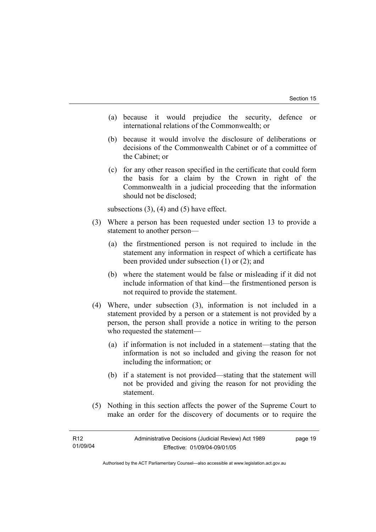- (a) because it would prejudice the security, defence or international relations of the Commonwealth; or
- (b) because it would involve the disclosure of deliberations or decisions of the Commonwealth Cabinet or of a committee of the Cabinet; or
- (c) for any other reason specified in the certificate that could form the basis for a claim by the Crown in right of the Commonwealth in a judicial proceeding that the information should not be disclosed;

subsections  $(3)$ ,  $(4)$  and  $(5)$  have effect.

- (3) Where a person has been requested under section 13 to provide a statement to another person—
	- (a) the firstmentioned person is not required to include in the statement any information in respect of which a certificate has been provided under subsection (1) or (2); and
	- (b) where the statement would be false or misleading if it did not include information of that kind—the firstmentioned person is not required to provide the statement.
- (4) Where, under subsection (3), information is not included in a statement provided by a person or a statement is not provided by a person, the person shall provide a notice in writing to the person who requested the statement—
	- (a) if information is not included in a statement—stating that the information is not so included and giving the reason for not including the information; or
	- (b) if a statement is not provided—stating that the statement will not be provided and giving the reason for not providing the statement.
- (5) Nothing in this section affects the power of the Supreme Court to make an order for the discovery of documents or to require the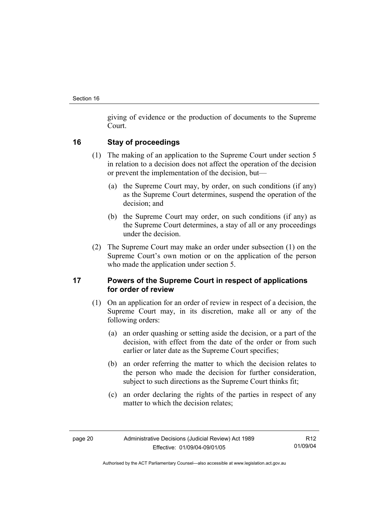giving of evidence or the production of documents to the Supreme Court.

# **16 Stay of proceedings**

- (1) The making of an application to the Supreme Court under section 5 in relation to a decision does not affect the operation of the decision or prevent the implementation of the decision, but—
	- (a) the Supreme Court may, by order, on such conditions (if any) as the Supreme Court determines, suspend the operation of the decision; and
	- (b) the Supreme Court may order, on such conditions (if any) as the Supreme Court determines, a stay of all or any proceedings under the decision.
- (2) The Supreme Court may make an order under subsection (1) on the Supreme Court's own motion or on the application of the person who made the application under section 5.

# **17 Powers of the Supreme Court in respect of applications for order of review**

- (1) On an application for an order of review in respect of a decision, the Supreme Court may, in its discretion, make all or any of the following orders:
	- (a) an order quashing or setting aside the decision, or a part of the decision, with effect from the date of the order or from such earlier or later date as the Supreme Court specifies;
	- (b) an order referring the matter to which the decision relates to the person who made the decision for further consideration, subject to such directions as the Supreme Court thinks fit;
	- (c) an order declaring the rights of the parties in respect of any matter to which the decision relates;

R12 01/09/04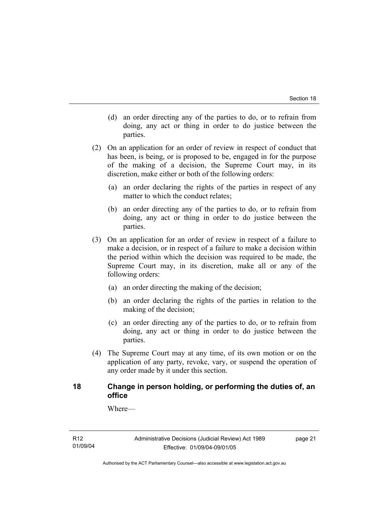- (d) an order directing any of the parties to do, or to refrain from doing, any act or thing in order to do justice between the parties.
- (2) On an application for an order of review in respect of conduct that has been, is being, or is proposed to be, engaged in for the purpose of the making of a decision, the Supreme Court may, in its discretion, make either or both of the following orders:
	- (a) an order declaring the rights of the parties in respect of any matter to which the conduct relates;
	- (b) an order directing any of the parties to do, or to refrain from doing, any act or thing in order to do justice between the parties.
- (3) On an application for an order of review in respect of a failure to make a decision, or in respect of a failure to make a decision within the period within which the decision was required to be made, the Supreme Court may, in its discretion, make all or any of the following orders:
	- (a) an order directing the making of the decision;
	- (b) an order declaring the rights of the parties in relation to the making of the decision;
	- (c) an order directing any of the parties to do, or to refrain from doing, any act or thing in order to do justice between the parties.
- (4) The Supreme Court may at any time, of its own motion or on the application of any party, revoke, vary, or suspend the operation of any order made by it under this section.

## **18 Change in person holding, or performing the duties of, an office**

Where—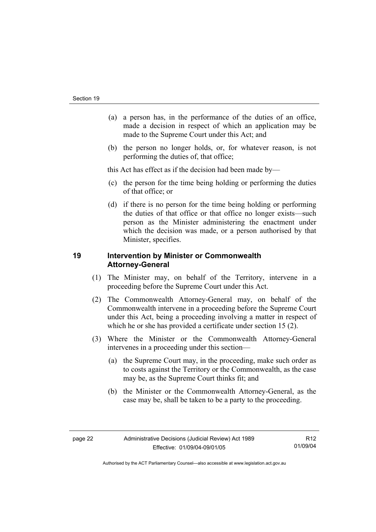- (a) a person has, in the performance of the duties of an office, made a decision in respect of which an application may be made to the Supreme Court under this Act; and
- (b) the person no longer holds, or, for whatever reason, is not performing the duties of, that office;

this Act has effect as if the decision had been made by—

- (c) the person for the time being holding or performing the duties of that office; or
- (d) if there is no person for the time being holding or performing the duties of that office or that office no longer exists—such person as the Minister administering the enactment under which the decision was made, or a person authorised by that Minister, specifies.

# **19 Intervention by Minister or Commonwealth Attorney-General**

- (1) The Minister may, on behalf of the Territory, intervene in a proceeding before the Supreme Court under this Act.
- (2) The Commonwealth Attorney-General may, on behalf of the Commonwealth intervene in a proceeding before the Supreme Court under this Act, being a proceeding involving a matter in respect of which he or she has provided a certificate under section 15 (2).
- (3) Where the Minister or the Commonwealth Attorney-General intervenes in a proceeding under this section—
	- (a) the Supreme Court may, in the proceeding, make such order as to costs against the Territory or the Commonwealth, as the case may be, as the Supreme Court thinks fit; and
	- (b) the Minister or the Commonwealth Attorney-General, as the case may be, shall be taken to be a party to the proceeding.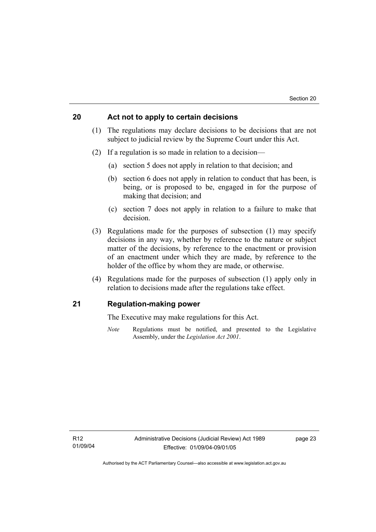### **20 Act not to apply to certain decisions**

- (1) The regulations may declare decisions to be decisions that are not subject to judicial review by the Supreme Court under this Act.
- (2) If a regulation is so made in relation to a decision—
	- (a) section 5 does not apply in relation to that decision; and
	- (b) section 6 does not apply in relation to conduct that has been, is being, or is proposed to be, engaged in for the purpose of making that decision; and
	- (c) section 7 does not apply in relation to a failure to make that decision.
- (3) Regulations made for the purposes of subsection (1) may specify decisions in any way, whether by reference to the nature or subject matter of the decisions, by reference to the enactment or provision of an enactment under which they are made, by reference to the holder of the office by whom they are made, or otherwise.
- (4) Regulations made for the purposes of subsection (1) apply only in relation to decisions made after the regulations take effect.

# **21 Regulation-making power**

The Executive may make regulations for this Act.

*Note* Regulations must be notified, and presented to the Legislative Assembly, under the *Legislation Act 2001*.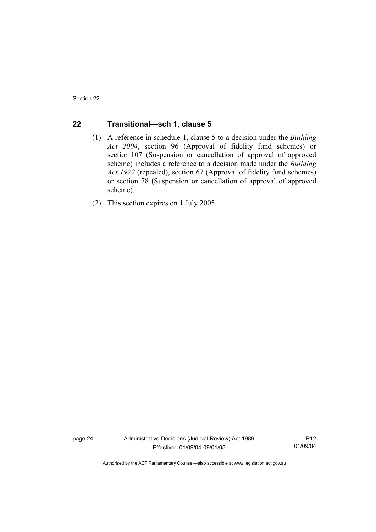# **22 Transitional—sch 1, clause 5**

- (1) A reference in schedule 1, clause 5 to a decision under the *Building Act 2004*, section 96 (Approval of fidelity fund schemes) or section 107 (Suspension or cancellation of approval of approved scheme) includes a reference to a decision made under the *Building Act 1972* (repealed), section 67 (Approval of fidelity fund schemes) or section 78 (Suspension or cancellation of approval of approved scheme).
- (2) This section expires on 1 July 2005.

page 24 Administrative Decisions (Judicial Review) Act 1989 Effective: 01/09/04-09/01/05

R12 01/09/04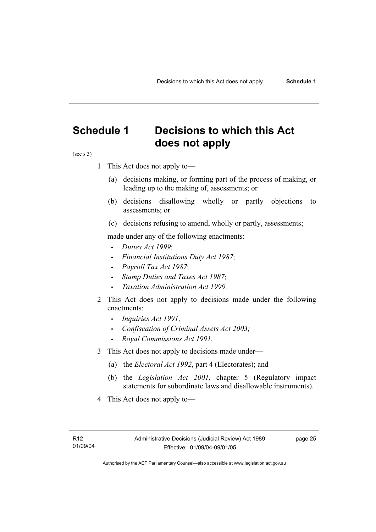# **Schedule 1 Decisions to which this Act does not apply**

(see s 3)

- 1 This Act does not apply to—
	- (a) decisions making, or forming part of the process of making, or leading up to the making of, assessments; or
	- (b) decisions disallowing wholly or partly objections to assessments; or
	- (c) decisions refusing to amend, wholly or partly, assessments;

made under any of the following enactments:

- *Duties Act 1999*;
- *Financial Institutions Duty Act 1987*;
- *Payroll Tax Act 1987*;
- *Stamp Duties and Taxes Act 1987*;
- *Taxation Administration Act 1999*.
- 2 This Act does not apply to decisions made under the following enactments:
	- *Inquiries Act 1991;*
	- *Confiscation of Criminal Assets Act 2003;*
	- *Royal Commissions Act 1991.*
- 3 This Act does not apply to decisions made under—
	- (a) the *Electoral Act 1992*, part 4 (Electorates); and
	- (b) the *Legislation Act 2001*, chapter 5 (Regulatory impact statements for subordinate laws and disallowable instruments).
- 4 This Act does not apply to—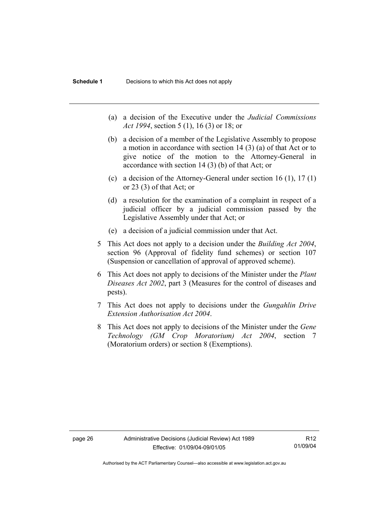- (a) a decision of the Executive under the *Judicial Commissions Act 1994*, section 5 (1), 16 (3) or 18; or
- (b) a decision of a member of the Legislative Assembly to propose a motion in accordance with section 14 (3) (a) of that Act or to give notice of the motion to the Attorney-General in accordance with section 14 (3) (b) of that Act; or
- (c) a decision of the Attorney-General under section 16 (1), 17 (1) or 23 (3) of that Act; or
- (d) a resolution for the examination of a complaint in respect of a judicial officer by a judicial commission passed by the Legislative Assembly under that Act; or
- (e) a decision of a judicial commission under that Act .
- 5 This Act does not apply to a decision under the *Building Act 2004*, section 96 (Approval of fidelity fund schemes) or section 107 (Suspension or cancellation of approval of approved scheme).
- 6 This Act does not apply to decisions of the Minister under the *Plant Diseases Act 2002*, part 3 (Measures for the control of diseases and pests).
- 7 This Act does not apply to decisions under the *Gungahlin Drive Extension Authorisation Act 2004*.
- 8 This Act does not apply to decisions of the Minister under the *Gene Technology (GM Crop Moratorium) Act 2004*, section 7 (Moratorium orders) or section 8 (Exemptions).

R12 01/09/04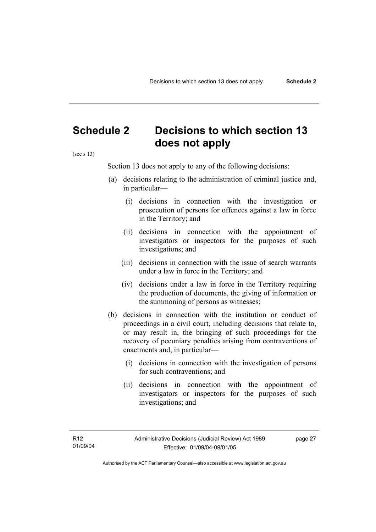# **Schedule 2 Decisions to which section 13 does not apply**

(see s 13)

Section 13 does not apply to any of the following decisions:

- (a) decisions relating to the administration of criminal justice and, in particular—
	- (i) decisions in connection with the investigation or prosecution of persons for offences against a law in force in the Territory; and
	- (ii) decisions in connection with the appointment of investigators or inspectors for the purposes of such investigations; and
	- (iii) decisions in connection with the issue of search warrants under a law in force in the Territory; and
	- (iv) decisions under a law in force in the Territory requiring the production of documents, the giving of information or the summoning of persons as witnesses;
- (b) decisions in connection with the institution or conduct of proceedings in a civil court, including decisions that relate to, or may result in, the bringing of such proceedings for the recovery of pecuniary penalties arising from contraventions of enactments and, in particular—
	- (i) decisions in connection with the investigation of persons for such contraventions; and
	- (ii) decisions in connection with the appointment of investigators or inspectors for the purposes of such investigations; and

Authorised by the ACT Parliamentary Counsel—also accessible at www.legislation.act.gov.au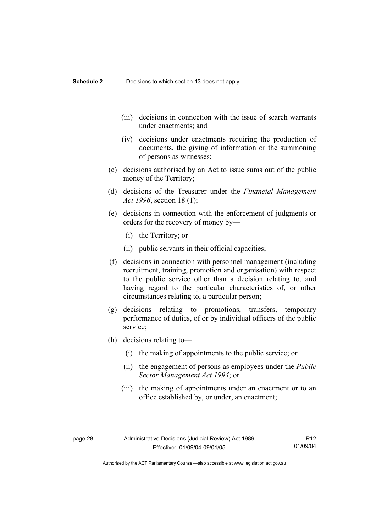- (iii) decisions in connection with the issue of search warrants under enactments; and
- (iv) decisions under enactments requiring the production of documents, the giving of information or the summoning of persons as witnesses;
- (c) decisions authorised by an Act to issue sums out of the public money of the Territory;
- (d) decisions of the Treasurer under the *Financial Management Act 1996*, section 18 (1);
- (e) decisions in connection with the enforcement of judgments or orders for the recovery of money by—
	- (i) the Territory; or
	- (ii) public servants in their official capacities;
- (f) decisions in connection with personnel management (including recruitment, training, promotion and organisation) with respect to the public service other than a decision relating to, and having regard to the particular characteristics of, or other circumstances relating to, a particular person;
- (g) decisions relating to promotions, transfers, temporary performance of duties, of or by individual officers of the public service;
- (h) decisions relating to—
	- (i) the making of appointments to the public service; or
	- (ii) the engagement of persons as employees under the *Public Sector Management Act 1994*; or
	- (iii) the making of appointments under an enactment or to an office established by, or under, an enactment;

R12 01/09/04

Authorised by the ACT Parliamentary Counsel—also accessible at www.legislation.act.gov.au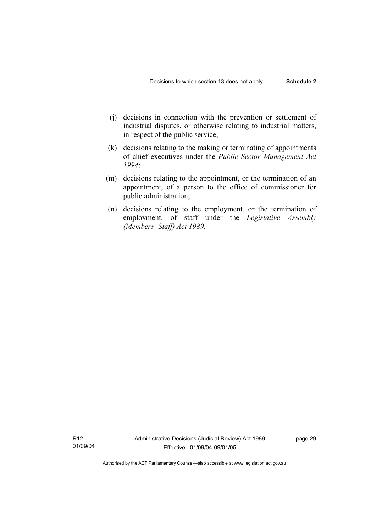- (j) decisions in connection with the prevention or settlement of industrial disputes, or otherwise relating to industrial matters, in respect of the public service;
- (k) decisions relating to the making or terminating of appointments of chief executives under the *Public Sector Management Act 1994*;
- (m) decisions relating to the appointment, or the termination of an appointment, of a person to the office of commissioner for public administration;
- (n) decisions relating to the employment, or the termination of employment, of staff under the *Legislative Assembly (Members' Staff) Act 1989*.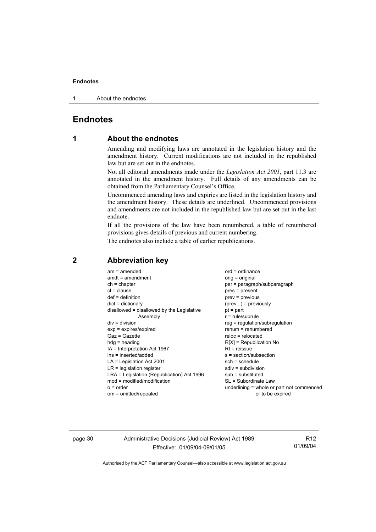1 About the endnotes

# **Endnotes**

# **1 About the endnotes**

Amending and modifying laws are annotated in the legislation history and the amendment history. Current modifications are not included in the republished law but are set out in the endnotes.

Not all editorial amendments made under the *Legislation Act 2001*, part 11.3 are annotated in the amendment history. Full details of any amendments can be obtained from the Parliamentary Counsel's Office.

Uncommenced amending laws and expiries are listed in the legislation history and the amendment history. These details are underlined. Uncommenced provisions and amendments are not included in the republished law but are set out in the last endnote.

If all the provisions of the law have been renumbered, a table of renumbered provisions gives details of previous and current numbering.

The endnotes also include a table of earlier republications.

| $am = amended$<br>$amdt = amendment$<br>$ch = chapter$<br>$cl = clause$<br>$def = definition$<br>$dict = dictionary$<br>disallowed = disallowed by the Legislative<br>Assembly<br>$div = division$<br>$exp = expires/expired$<br>Gaz = Gazette<br>$h dq =$ heading<br>IA = Interpretation Act 1967<br>$ins = inserted/added$<br>$LA =$ Legislation Act 2001<br>$LR =$ legislation register<br>LRA = Legislation (Republication) Act 1996<br>$mod = modified/modification$ | $ord = ordinance$<br>orig = original<br>par = paragraph/subparagraph<br>$pres = present$<br>$prev = previous$<br>$(\text{prev})$ = previously<br>$pt = part$<br>$r = rule/subrule$<br>$reg = regulation/subregulation$<br>$renum = renumbered$<br>$reloc = relocated$<br>$R[X]$ = Republication No<br>$RI = reissue$<br>s = section/subsection<br>$sch = schedule$<br>$sdiv = subdivision$<br>$sub =$ substituted<br>SL = Subordinate Law |
|---------------------------------------------------------------------------------------------------------------------------------------------------------------------------------------------------------------------------------------------------------------------------------------------------------------------------------------------------------------------------------------------------------------------------------------------------------------------------|-------------------------------------------------------------------------------------------------------------------------------------------------------------------------------------------------------------------------------------------------------------------------------------------------------------------------------------------------------------------------------------------------------------------------------------------|
|                                                                                                                                                                                                                                                                                                                                                                                                                                                                           |                                                                                                                                                                                                                                                                                                                                                                                                                                           |
| $o = order$                                                                                                                                                                                                                                                                                                                                                                                                                                                               | underlining = whole or part not commenced                                                                                                                                                                                                                                                                                                                                                                                                 |
| om = omitted/repealed                                                                                                                                                                                                                                                                                                                                                                                                                                                     | or to be expired                                                                                                                                                                                                                                                                                                                                                                                                                          |
|                                                                                                                                                                                                                                                                                                                                                                                                                                                                           |                                                                                                                                                                                                                                                                                                                                                                                                                                           |

# **2 Abbreviation key**

page 30 Administrative Decisions (Judicial Review) Act 1989 Effective: 01/09/04-09/01/05

R12 01/09/04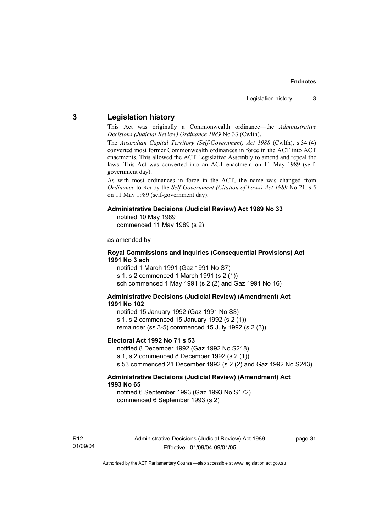## **3 Legislation history**

This Act was originally a Commonwealth ordinance—the *Administrative Decisions (Judicial Review) Ordinance 1989* No 33 (Cwlth).

The *Australian Capital Territory (Self-Government) Act 1988* (Cwlth), s 34 (4) converted most former Commonwealth ordinances in force in the ACT into ACT enactments. This allowed the ACT Legislative Assembly to amend and repeal the laws. This Act was converted into an ACT enactment on 11 May 1989 (selfgovernment day).

As with most ordinances in force in the ACT, the name was changed from *Ordinance* to *Act* by the *Self-Government (Citation of Laws) Act 1989* No 21, s 5 on 11 May 1989 (self-government day).

### **Administrative Decisions (Judicial Review) Act 1989 No 33**

notified 10 May 1989

commenced 11 May 1989 (s 2)

as amended by

### **Royal Commissions and Inquiries (Consequential Provisions) Act 1991 No 3 sch**

notified 1 March 1991 (Gaz 1991 No S7) s 1, s 2 commenced 1 March 1991 (s 2 (1)) sch commenced 1 May 1991 (s 2 (2) and Gaz 1991 No 16)

### **Administrative Decisions (Judicial Review) (Amendment) Act 1991 No 102**

notified 15 January 1992 (Gaz 1991 No S3) s 1, s 2 commenced 15 January 1992 (s 2 (1)) remainder (ss 3-5) commenced 15 July 1992 (s 2 (3))

### **Electoral Act 1992 No 71 s 53**

notified 8 December 1992 (Gaz 1992 No S218) s 1, s 2 commenced 8 December 1992 (s 2 (1)) s 53 commenced 21 December 1992 (s 2 (2) and Gaz 1992 No S243)

### **Administrative Decisions (Judicial Review) (Amendment) Act 1993 No 65**

notified 6 September 1993 (Gaz 1993 No S172) commenced 6 September 1993 (s 2)

R12 01/09/04 page 31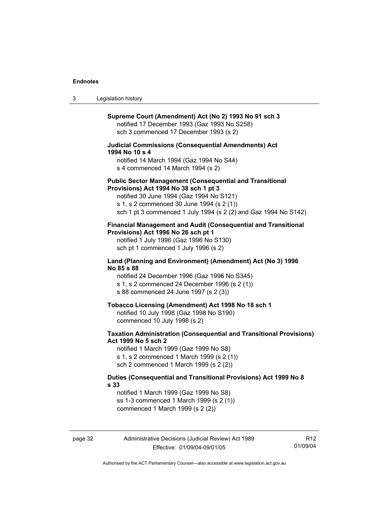| Legislation history<br>3 |  |
|--------------------------|--|
|--------------------------|--|

| Supreme Court (Amendment) Act (No 2) 1993 No 91 sch 3<br>notified 17 December 1993 (Gaz 1993 No S258)<br>sch 3 commenced 17 December 1993 (s 2)<br><b>Judicial Commissions (Consequential Amendments) Act</b><br>1994 No 10 s 4<br>notified 14 March 1994 (Gaz 1994 No S44)<br>s 4 commenced 14 March 1994 (s 2)<br><b>Public Sector Management (Consequential and Transitional</b><br>Provisions) Act 1994 No 38 sch 1 pt 3<br>notified 30 June 1994 (Gaz 1994 No S121)<br>s 1, s 2 commenced 30 June 1994 (s 2 (1))<br>sch 1 pt 3 commenced 1 July 1994 (s 2 (2) and Gaz 1994 No S142)<br>Financial Management and Audit (Consequential and Transitional<br>Provisions) Act 1996 No 26 sch pt 1<br>notified 1 July 1996 (Gaz 1996 No S130)<br>sch pt 1 commenced 1 July 1996 (s 2)<br>Land (Planning and Environment) (Amendment) Act (No 3) 1996<br>No 85 s 88<br>notified 24 December 1996 (Gaz 1996 No S345)<br>s 1, s 2 commenced 24 December 1996 (s 2 (1))<br>s 88 commenced 24 June 1997 (s 2 (3))<br>Tobacco Licensing (Amendment) Act 1998 No 18 sch 1<br>notified 10 July 1998 (Gaz 1998 No S190)<br>commenced 10 July 1998 (s 2)<br><b>Taxation Administration (Consequential and Transitional Provisions)</b><br>Act 1999 No 5 sch 2<br>notified 1 March 1999 (Gaz 1999 No S8)<br>s 1, s 2 commenced 1 March 1999 (s 2 (1))<br>sch 2 commenced 1 March 1999 (s 2 (2))<br>Duties (Consequential and Transitional Provisions) Act 1999 No 8<br>s <sub>33</sub><br>notified 1 March 1999 (Gaz 1999 No S8)<br>ss 1-3 commenced 1 March 1999 (s 2 (1))<br>commenced 1 March 1999 (s 2 (2)) |  |
|-----------------------------------------------------------------------------------------------------------------------------------------------------------------------------------------------------------------------------------------------------------------------------------------------------------------------------------------------------------------------------------------------------------------------------------------------------------------------------------------------------------------------------------------------------------------------------------------------------------------------------------------------------------------------------------------------------------------------------------------------------------------------------------------------------------------------------------------------------------------------------------------------------------------------------------------------------------------------------------------------------------------------------------------------------------------------------------------------------------------------------------------------------------------------------------------------------------------------------------------------------------------------------------------------------------------------------------------------------------------------------------------------------------------------------------------------------------------------------------------------------------------------------------------------------------------------------------------------------|--|
|                                                                                                                                                                                                                                                                                                                                                                                                                                                                                                                                                                                                                                                                                                                                                                                                                                                                                                                                                                                                                                                                                                                                                                                                                                                                                                                                                                                                                                                                                                                                                                                                     |  |
|                                                                                                                                                                                                                                                                                                                                                                                                                                                                                                                                                                                                                                                                                                                                                                                                                                                                                                                                                                                                                                                                                                                                                                                                                                                                                                                                                                                                                                                                                                                                                                                                     |  |
|                                                                                                                                                                                                                                                                                                                                                                                                                                                                                                                                                                                                                                                                                                                                                                                                                                                                                                                                                                                                                                                                                                                                                                                                                                                                                                                                                                                                                                                                                                                                                                                                     |  |
|                                                                                                                                                                                                                                                                                                                                                                                                                                                                                                                                                                                                                                                                                                                                                                                                                                                                                                                                                                                                                                                                                                                                                                                                                                                                                                                                                                                                                                                                                                                                                                                                     |  |
|                                                                                                                                                                                                                                                                                                                                                                                                                                                                                                                                                                                                                                                                                                                                                                                                                                                                                                                                                                                                                                                                                                                                                                                                                                                                                                                                                                                                                                                                                                                                                                                                     |  |
|                                                                                                                                                                                                                                                                                                                                                                                                                                                                                                                                                                                                                                                                                                                                                                                                                                                                                                                                                                                                                                                                                                                                                                                                                                                                                                                                                                                                                                                                                                                                                                                                     |  |
|                                                                                                                                                                                                                                                                                                                                                                                                                                                                                                                                                                                                                                                                                                                                                                                                                                                                                                                                                                                                                                                                                                                                                                                                                                                                                                                                                                                                                                                                                                                                                                                                     |  |
|                                                                                                                                                                                                                                                                                                                                                                                                                                                                                                                                                                                                                                                                                                                                                                                                                                                                                                                                                                                                                                                                                                                                                                                                                                                                                                                                                                                                                                                                                                                                                                                                     |  |

page 32 Administrative Decisions (Judicial Review) Act 1989 Effective: 01/09/04-09/01/05

R12 01/09/04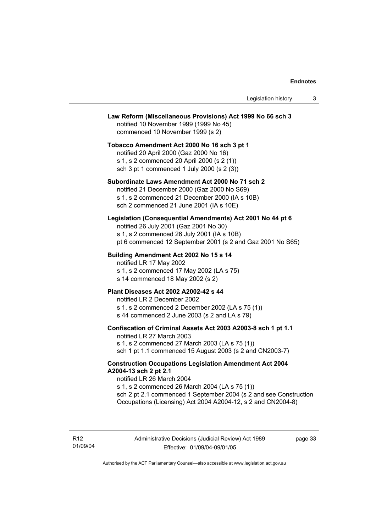### **Law Reform (Miscellaneous Provisions) Act 1999 No 66 sch 3**

notified 10 November 1999 (1999 No 45) commenced 10 November 1999 (s 2)

### **Tobacco Amendment Act 2000 No 16 sch 3 pt 1**

notified 20 April 2000 (Gaz 2000 No 16) s 1, s 2 commenced 20 April 2000 (s 2 (1)) sch 3 pt 1 commenced 1 July 2000 (s 2 (3))

### **Subordinate Laws Amendment Act 2000 No 71 sch 2**

notified 21 December 2000 (Gaz 2000 No S69) s 1, s 2 commenced 21 December 2000 (IA s 10B) sch 2 commenced 21 June 2001 (IA s 10E)

### **Legislation (Consequential Amendments) Act 2001 No 44 pt 6**

notified 26 July 2001 (Gaz 2001 No 30) s 1, s 2 commenced 26 July 2001 (IA s 10B) pt 6 commenced 12 September 2001 (s 2 and Gaz 2001 No S65)

### **Building Amendment Act 2002 No 15 s 14**

notified LR 17 May 2002

s 1, s 2 commenced 17 May 2002 (LA s 75)

s 14 commenced 18 May 2002 (s 2)

### **Plant Diseases Act 2002 A2002-42 s 44**

notified LR 2 December 2002 s 1, s 2 commenced 2 December 2002 (LA s 75 (1)) s 44 commenced 2 June 2003 (s 2 and LA s 79)

### **Confiscation of Criminal Assets Act 2003 A2003-8 sch 1 pt 1.1**

notified LR 27 March 2003 s 1, s 2 commenced 27 March 2003 (LA s 75 (1)) sch 1 pt 1.1 commenced 15 August 2003 (s 2 and CN2003-7)

### **Construction Occupations Legislation Amendment Act 2004 A2004-13 sch 2 pt 2.1**

notified LR 26 March 2004

s 1, s 2 commenced 26 March 2004 (LA s 75 (1)) sch 2 pt 2.1 commenced 1 September 2004 (s 2 and see Construction Occupations (Licensing) Act 2004 A2004-12, s 2 and CN2004-8)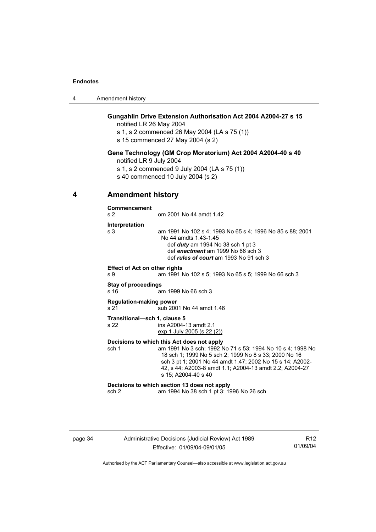| 4 | Amendment history |
|---|-------------------|
|---|-------------------|

### **Gungahlin Drive Extension Authorisation Act 2004 A2004-27 s 15**

notified LR 26 May 2004

s 1, s 2 commenced 26 May 2004 (LA s 75 (1))

s 15 commenced 27 May 2004 (s 2)

### **Gene Technology (GM Crop Moratorium) Act 2004 A2004-40 s 40**

notified LR 9 July 2004

s 1, s 2 commenced 9 July 2004 (LA s 75 (1))

s 40 commenced 10 July 2004 (s 2)

## **4 Amendment history**

**Commencement**  s 2 om 2001 No 44 amdt 1.42 **Interpretation**  s 3 am 1991 No 102 s 4; 1993 No 65 s 4; 1996 No 85 s 88; 2001 No 44 amdts 1.43-1.45 def *duty* am 1994 No 38 sch 1 pt 3 def *enactment* am 1999 No 66 sch 3 def *rules of court* am 1993 No 91 sch 3 **Effect of Act on other rights**  s 9 am 1991 No 102 s 5; 1993 No 65 s 5; 1999 No 66 sch 3 **Stay of proceedings**  s 16 am 1999 No 66 sch 3 **Regulation-making power**  s 21 sub 2001 No 44 amdt 1.46 **Transitional—sch 1, clause 5**  s 22 ins A2004-13 amdt 2.1 exp 1 July 2005 (s 22 (2)) **Decisions to which this Act does not apply**  sch 1 am 1991 No 3 sch; 1992 No 71 s 53; 1994 No 10 s 4; 1998 No 18 sch 1; 1999 No 5 sch 2; 1999 No 8 s 33; 2000 No 16 sch 3 pt 1; 2001 No 44 amdt 1.47; 2002 No 15 s 14; A2002- 42, s 44; A2003-8 amdt 1.1; A2004-13 amdt 2.2; A2004-27 s 15; A2004-40 s 40 **Decisions to which section 13 does not apply**  sch 2 am 1994 No 38 sch 1 pt 3; 1996 No 26 sch

## page 34 Administrative Decisions (Judicial Review) Act 1989 Effective: 01/09/04-09/01/05

R12 01/09/04